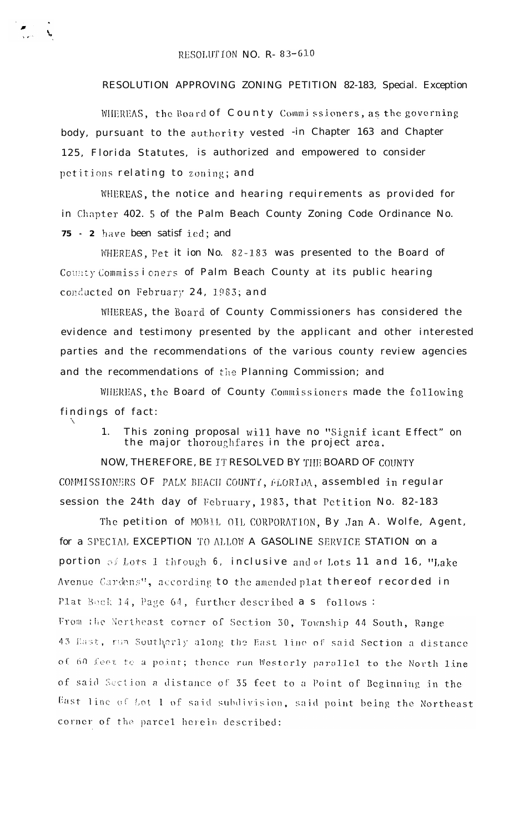$\sum_{\mathbf{k},\mathbf{k} \in \mathbb{N}} \mathbf{X}_\mathbf{k}$ 

## RESOLUTION APPROVING ZONING PETITION 82-183, Special. Exception

WHEREAS, the Board of County Commissioners, as the governing body, pursuant to the authority vested -in Chapter 163 and Chapter 125, Florida Statutes, is authorized and empowered to consider petitions relating to zoning; and

WHEREAS, the notice and hearing requirements as provided for in Chapter 402. 5 of the Palm Beach County Zoning Code Ordinance No. 75 - 2 have been satisf ied; and

WHEREAS, Pet it ion No. 82-183 was presented to the Board of County Commissioners of Palm Beach County at its public hearing conducted on February 24, 1983; and

WHEREAS, the Board of County Commissioners has considered the evidence and testimony presented by the applicant and other interested parties and the recommendations of the various county review agencies and the recommendations of the Planning Commission; and

WHEREAS, the Board of County Commissioners made the following findings of fact:

> This zoning proposal will have no "Signif icant Effect" on the major thoroughfares in the project area.  $\mathbf{1}$

NOW, THEREFORE, BE IT RESOLVED BY THE BOARD OF COUNTY COMMISSIONERS OF PALM BEACH COUNTY, FLORIDA, assembled in regular session the 24th day of February, 1983, that Petition No. 82-183

The petition of MOBIL OIL CORPORATION, By Jan A. Wolfe, Agent, for a SPECIAL EXCEPTION TO ALLOW A GASOLINE SERVICE STATION on a portion of Lots 1 through 6, inclusive and of Lots 11 and 16, "Lake Avenue Cardens", according to the amended plat thereof recorded in Plat Bock 14, Page 64, further described a s follows:

From the Northeast corner of Section 30, Township 44 South, Range 43 East, run Southerly along the East line of said Section a distance of 60 feet to a point; thence run Westerly parallel to the North line of said Section a distance of 35 feet to a Point of Beginning in the East line of Lot 1 of said subdivision, said point being the Northeast corner of the parcel herein described: